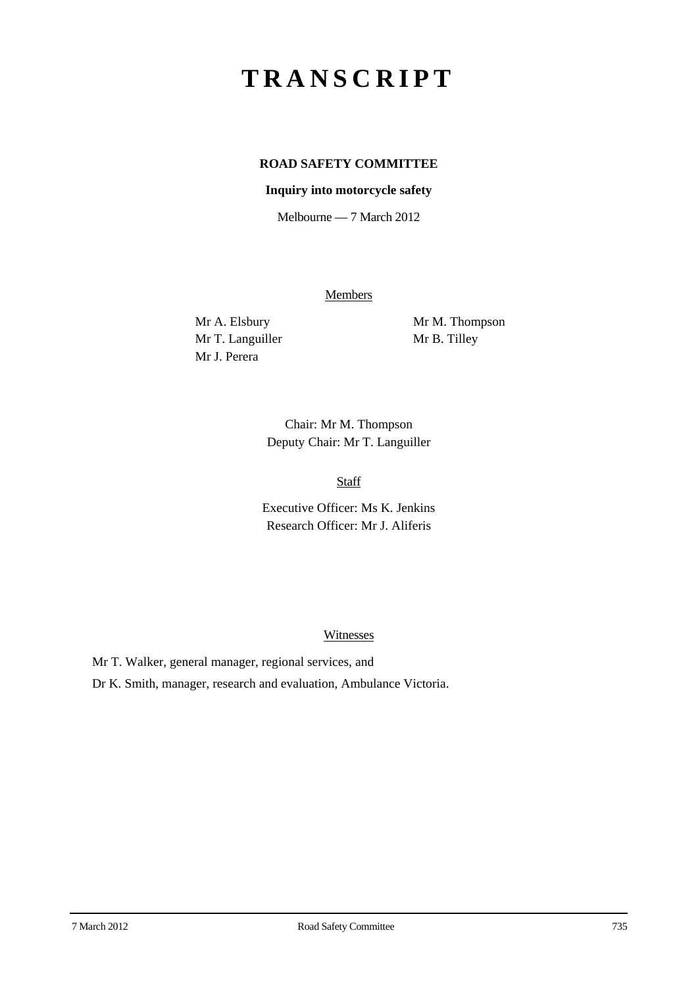# **TRANSCRIPT**

# **ROAD SAFETY COMMITTEE**

## **Inquiry into motorcycle safety**

Melbourne — 7 March 2012

**Members** 

Mr T. Languiller Mr B. Tilley Mr J. Perera

Mr A. Elsbury Mr M. Thompson

Chair: Mr M. Thompson Deputy Chair: Mr T. Languiller

Staff

Executive Officer: Ms K. Jenkins Research Officer: Mr J. Aliferis

### Witnesses

Mr T. Walker, general manager, regional services, and

Dr K. Smith, manager, research and evaluation, Ambulance Victoria.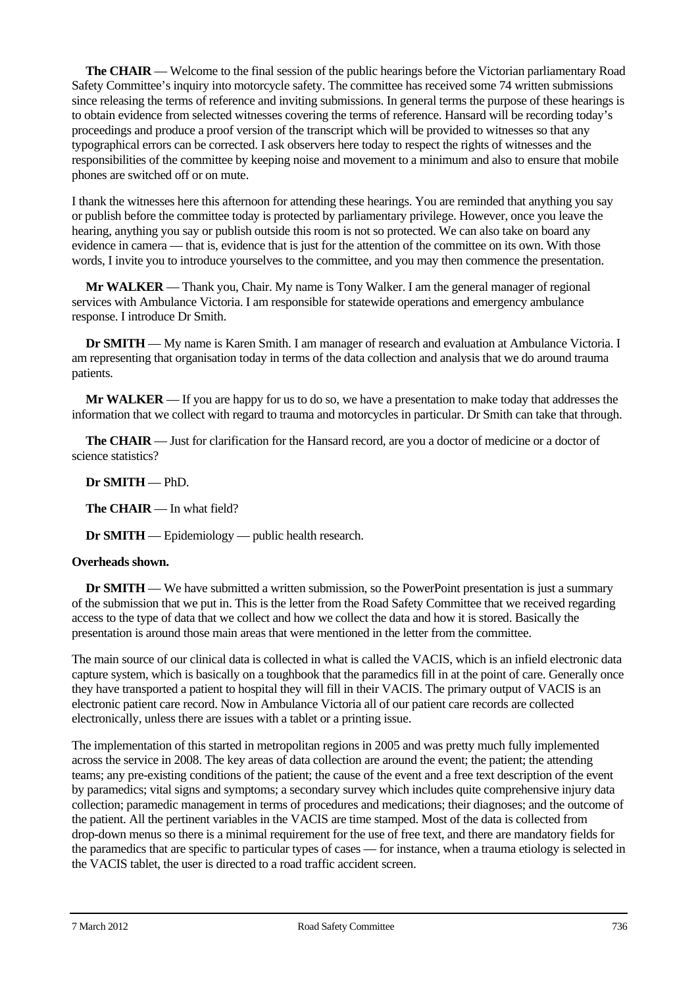**The CHAIR** — Welcome to the final session of the public hearings before the Victorian parliamentary Road Safety Committee's inquiry into motorcycle safety. The committee has received some 74 written submissions since releasing the terms of reference and inviting submissions. In general terms the purpose of these hearings is to obtain evidence from selected witnesses covering the terms of reference. Hansard will be recording today's proceedings and produce a proof version of the transcript which will be provided to witnesses so that any typographical errors can be corrected. I ask observers here today to respect the rights of witnesses and the responsibilities of the committee by keeping noise and movement to a minimum and also to ensure that mobile phones are switched off or on mute.

I thank the witnesses here this afternoon for attending these hearings. You are reminded that anything you say or publish before the committee today is protected by parliamentary privilege. However, once you leave the hearing, anything you say or publish outside this room is not so protected. We can also take on board any evidence in camera — that is, evidence that is just for the attention of the committee on its own. With those words, I invite you to introduce yourselves to the committee, and you may then commence the presentation.

**Mr WALKER** — Thank you, Chair. My name is Tony Walker. I am the general manager of regional services with Ambulance Victoria. I am responsible for statewide operations and emergency ambulance response. I introduce Dr Smith.

**Dr SMITH** — My name is Karen Smith. I am manager of research and evaluation at Ambulance Victoria. I am representing that organisation today in terms of the data collection and analysis that we do around trauma patients.

**Mr WALKER** — If you are happy for us to do so, we have a presentation to make today that addresses the information that we collect with regard to trauma and motorcycles in particular. Dr Smith can take that through.

**The CHAIR** — Just for clarification for the Hansard record, are you a doctor of medicine or a doctor of science statistics?

## **Dr SMITH** — PhD.

**The CHAIR** — In what field?

**Dr SMITH** — Epidemiology — public health research.

### **Overheads shown.**

**Dr <b>SMITH** — We have submitted a written submission, so the PowerPoint presentation is just a summary of the submission that we put in. This is the letter from the Road Safety Committee that we received regarding access to the type of data that we collect and how we collect the data and how it is stored. Basically the presentation is around those main areas that were mentioned in the letter from the committee.

The main source of our clinical data is collected in what is called the VACIS, which is an infield electronic data capture system, which is basically on a toughbook that the paramedics fill in at the point of care. Generally once they have transported a patient to hospital they will fill in their VACIS. The primary output of VACIS is an electronic patient care record. Now in Ambulance Victoria all of our patient care records are collected electronically, unless there are issues with a tablet or a printing issue.

The implementation of this started in metropolitan regions in 2005 and was pretty much fully implemented across the service in 2008. The key areas of data collection are around the event; the patient; the attending teams; any pre-existing conditions of the patient; the cause of the event and a free text description of the event by paramedics; vital signs and symptoms; a secondary survey which includes quite comprehensive injury data collection; paramedic management in terms of procedures and medications; their diagnoses; and the outcome of the patient. All the pertinent variables in the VACIS are time stamped. Most of the data is collected from drop-down menus so there is a minimal requirement for the use of free text, and there are mandatory fields for the paramedics that are specific to particular types of cases — for instance, when a trauma etiology is selected in the VACIS tablet, the user is directed to a road traffic accident screen.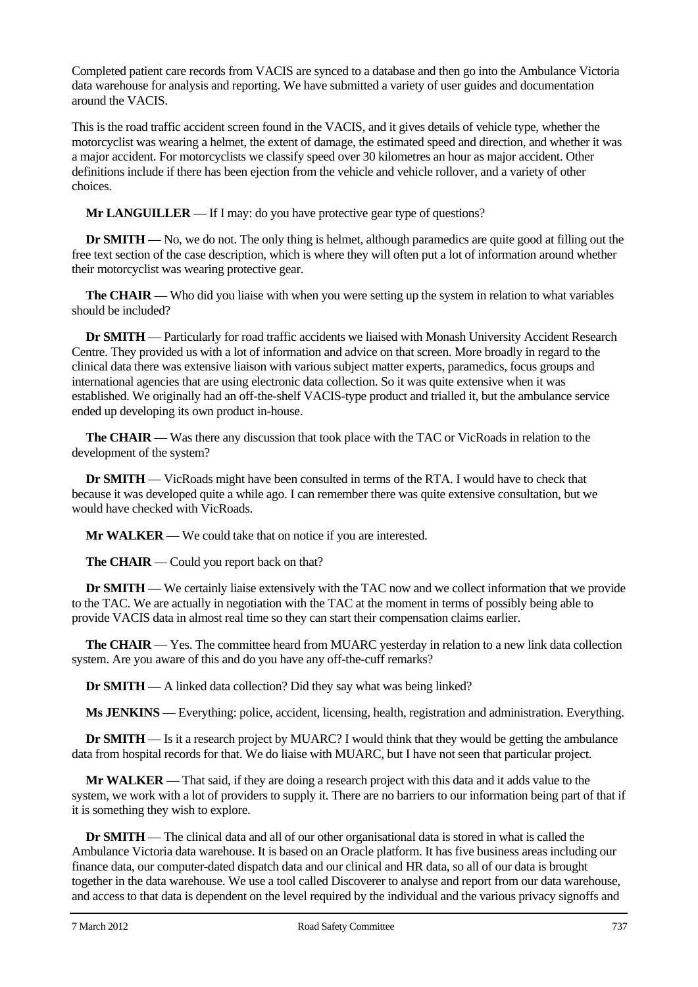Completed patient care records from VACIS are synced to a database and then go into the Ambulance Victoria data warehouse for analysis and reporting. We have submitted a variety of user guides and documentation around the VACIS.

This is the road traffic accident screen found in the VACIS, and it gives details of vehicle type, whether the motorcyclist was wearing a helmet, the extent of damage, the estimated speed and direction, and whether it was a major accident. For motorcyclists we classify speed over 30 kilometres an hour as major accident. Other definitions include if there has been ejection from the vehicle and vehicle rollover, and a variety of other choices.

**Mr LANGUILLER** — If I may: do you have protective gear type of questions?

**Dr <b>SMITH** — No, we do not. The only thing is helmet, although paramedics are quite good at filling out the free text section of the case description, which is where they will often put a lot of information around whether their motorcyclist was wearing protective gear.

**The CHAIR** — Who did you liaise with when you were setting up the system in relation to what variables should be included?

**Dr SMITH** — Particularly for road traffic accidents we liaised with Monash University Accident Research Centre. They provided us with a lot of information and advice on that screen. More broadly in regard to the clinical data there was extensive liaison with various subject matter experts, paramedics, focus groups and international agencies that are using electronic data collection. So it was quite extensive when it was established. We originally had an off-the-shelf VACIS-type product and trialled it, but the ambulance service ended up developing its own product in-house.

**The CHAIR** — Was there any discussion that took place with the TAC or VicRoads in relation to the development of the system?

**Dr SMITH** — VicRoads might have been consulted in terms of the RTA. I would have to check that because it was developed quite a while ago. I can remember there was quite extensive consultation, but we would have checked with VicRoads.

**Mr WALKER** — We could take that on notice if you are interested.

**The CHAIR** — Could you report back on that?

**Dr SMITH** — We certainly liaise extensively with the TAC now and we collect information that we provide to the TAC. We are actually in negotiation with the TAC at the moment in terms of possibly being able to provide VACIS data in almost real time so they can start their compensation claims earlier.

**The CHAIR** — Yes. The committee heard from MUARC yesterday in relation to a new link data collection system. Are you aware of this and do you have any off-the-cuff remarks?

**Dr SMITH** — A linked data collection? Did they say what was being linked?

**Ms JENKINS** — Everything: police, accident, licensing, health, registration and administration. Everything.

**Dr <b>SMITH** — Is it a research project by MUARC? I would think that they would be getting the ambulance data from hospital records for that. We do liaise with MUARC, but I have not seen that particular project.

**Mr WALKER** — That said, if they are doing a research project with this data and it adds value to the system, we work with a lot of providers to supply it. There are no barriers to our information being part of that if it is something they wish to explore.

**Dr SMITH** — The clinical data and all of our other organisational data is stored in what is called the Ambulance Victoria data warehouse. It is based on an Oracle platform. It has five business areas including our finance data, our computer-dated dispatch data and our clinical and HR data, so all of our data is brought together in the data warehouse. We use a tool called Discoverer to analyse and report from our data warehouse, and access to that data is dependent on the level required by the individual and the various privacy signoffs and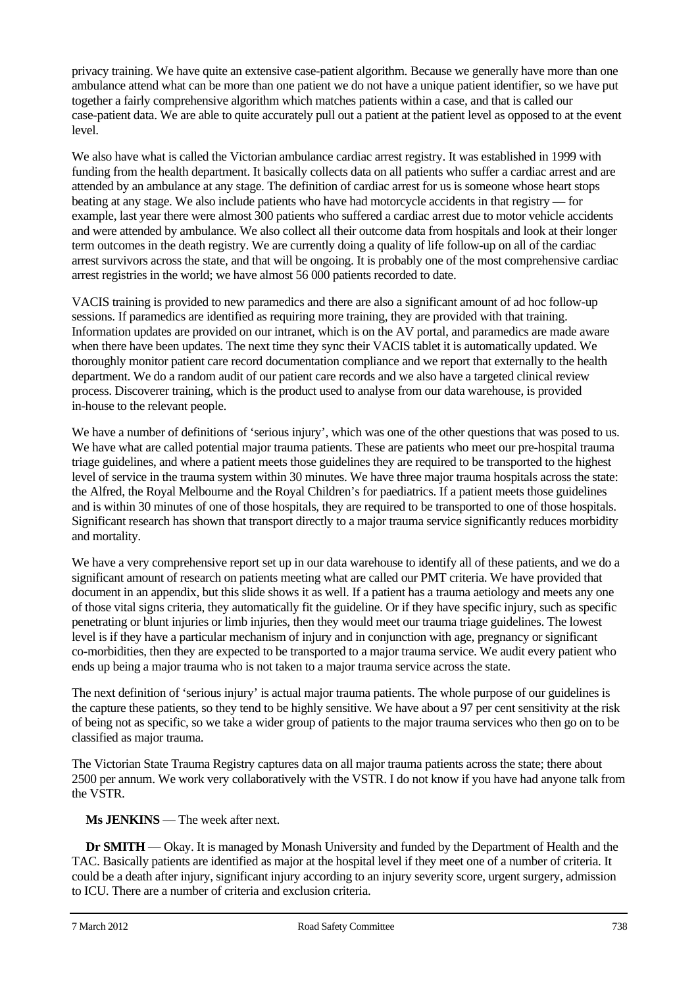privacy training. We have quite an extensive case-patient algorithm. Because we generally have more than one ambulance attend what can be more than one patient we do not have a unique patient identifier, so we have put together a fairly comprehensive algorithm which matches patients within a case, and that is called our case-patient data. We are able to quite accurately pull out a patient at the patient level as opposed to at the event level.

We also have what is called the Victorian ambulance cardiac arrest registry. It was established in 1999 with funding from the health department. It basically collects data on all patients who suffer a cardiac arrest and are attended by an ambulance at any stage. The definition of cardiac arrest for us is someone whose heart stops beating at any stage. We also include patients who have had motorcycle accidents in that registry — for example, last year there were almost 300 patients who suffered a cardiac arrest due to motor vehicle accidents and were attended by ambulance. We also collect all their outcome data from hospitals and look at their longer term outcomes in the death registry. We are currently doing a quality of life follow-up on all of the cardiac arrest survivors across the state, and that will be ongoing. It is probably one of the most comprehensive cardiac arrest registries in the world; we have almost 56 000 patients recorded to date.

VACIS training is provided to new paramedics and there are also a significant amount of ad hoc follow-up sessions. If paramedics are identified as requiring more training, they are provided with that training. Information updates are provided on our intranet, which is on the AV portal, and paramedics are made aware when there have been updates. The next time they sync their VACIS tablet it is automatically updated. We thoroughly monitor patient care record documentation compliance and we report that externally to the health department. We do a random audit of our patient care records and we also have a targeted clinical review process. Discoverer training, which is the product used to analyse from our data warehouse, is provided in-house to the relevant people.

We have a number of definitions of 'serious injury', which was one of the other questions that was posed to us. We have what are called potential major trauma patients. These are patients who meet our pre-hospital trauma triage guidelines, and where a patient meets those guidelines they are required to be transported to the highest level of service in the trauma system within 30 minutes. We have three major trauma hospitals across the state: the Alfred, the Royal Melbourne and the Royal Children's for paediatrics. If a patient meets those guidelines and is within 30 minutes of one of those hospitals, they are required to be transported to one of those hospitals. Significant research has shown that transport directly to a major trauma service significantly reduces morbidity and mortality.

We have a very comprehensive report set up in our data warehouse to identify all of these patients, and we do a significant amount of research on patients meeting what are called our PMT criteria. We have provided that document in an appendix, but this slide shows it as well. If a patient has a trauma aetiology and meets any one of those vital signs criteria, they automatically fit the guideline. Or if they have specific injury, such as specific penetrating or blunt injuries or limb injuries, then they would meet our trauma triage guidelines. The lowest level is if they have a particular mechanism of injury and in conjunction with age, pregnancy or significant co-morbidities, then they are expected to be transported to a major trauma service. We audit every patient who ends up being a major trauma who is not taken to a major trauma service across the state.

The next definition of 'serious injury' is actual major trauma patients. The whole purpose of our guidelines is the capture these patients, so they tend to be highly sensitive. We have about a 97 per cent sensitivity at the risk of being not as specific, so we take a wider group of patients to the major trauma services who then go on to be classified as major trauma.

The Victorian State Trauma Registry captures data on all major trauma patients across the state; there about 2500 per annum. We work very collaboratively with the VSTR. I do not know if you have had anyone talk from the VSTR.

**Ms JENKINS** — The week after next.

**Dr SMITH** — Okay. It is managed by Monash University and funded by the Department of Health and the TAC. Basically patients are identified as major at the hospital level if they meet one of a number of criteria. It could be a death after injury, significant injury according to an injury severity score, urgent surgery, admission to ICU. There are a number of criteria and exclusion criteria.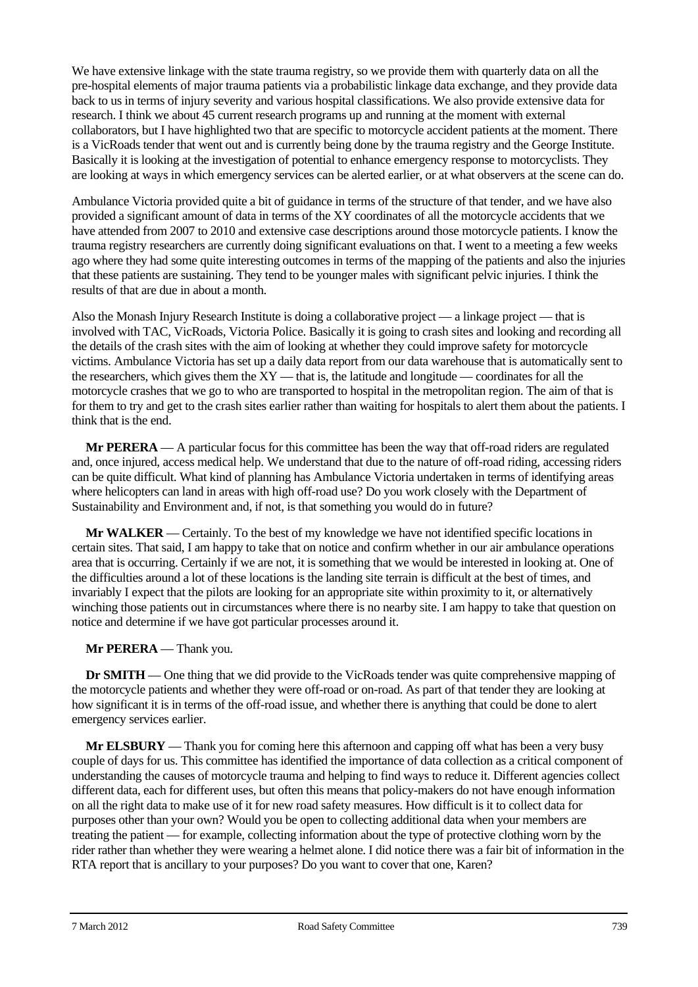We have extensive linkage with the state trauma registry, so we provide them with quarterly data on all the pre-hospital elements of major trauma patients via a probabilistic linkage data exchange, and they provide data back to us in terms of injury severity and various hospital classifications. We also provide extensive data for research. I think we about 45 current research programs up and running at the moment with external collaborators, but I have highlighted two that are specific to motorcycle accident patients at the moment. There is a VicRoads tender that went out and is currently being done by the trauma registry and the George Institute. Basically it is looking at the investigation of potential to enhance emergency response to motorcyclists. They are looking at ways in which emergency services can be alerted earlier, or at what observers at the scene can do.

Ambulance Victoria provided quite a bit of guidance in terms of the structure of that tender, and we have also provided a significant amount of data in terms of the XY coordinates of all the motorcycle accidents that we have attended from 2007 to 2010 and extensive case descriptions around those motorcycle patients. I know the trauma registry researchers are currently doing significant evaluations on that. I went to a meeting a few weeks ago where they had some quite interesting outcomes in terms of the mapping of the patients and also the injuries that these patients are sustaining. They tend to be younger males with significant pelvic injuries. I think the results of that are due in about a month.

Also the Monash Injury Research Institute is doing a collaborative project — a linkage project — that is involved with TAC, VicRoads, Victoria Police. Basically it is going to crash sites and looking and recording all the details of the crash sites with the aim of looking at whether they could improve safety for motorcycle victims. Ambulance Victoria has set up a daily data report from our data warehouse that is automatically sent to the researchers, which gives them the XY — that is, the latitude and longitude — coordinates for all the motorcycle crashes that we go to who are transported to hospital in the metropolitan region. The aim of that is for them to try and get to the crash sites earlier rather than waiting for hospitals to alert them about the patients. I think that is the end.

**Mr PERERA** — A particular focus for this committee has been the way that off-road riders are regulated and, once injured, access medical help. We understand that due to the nature of off-road riding, accessing riders can be quite difficult. What kind of planning has Ambulance Victoria undertaken in terms of identifying areas where helicopters can land in areas with high off-road use? Do you work closely with the Department of Sustainability and Environment and, if not, is that something you would do in future?

**Mr WALKER** — Certainly. To the best of my knowledge we have not identified specific locations in certain sites. That said, I am happy to take that on notice and confirm whether in our air ambulance operations area that is occurring. Certainly if we are not, it is something that we would be interested in looking at. One of the difficulties around a lot of these locations is the landing site terrain is difficult at the best of times, and invariably I expect that the pilots are looking for an appropriate site within proximity to it, or alternatively winching those patients out in circumstances where there is no nearby site. I am happy to take that question on notice and determine if we have got particular processes around it.

## **Mr PERERA** — Thank you.

**Dr SMITH** — One thing that we did provide to the VicRoads tender was quite comprehensive mapping of the motorcycle patients and whether they were off-road or on-road. As part of that tender they are looking at how significant it is in terms of the off-road issue, and whether there is anything that could be done to alert emergency services earlier.

**Mr ELSBURY** — Thank you for coming here this afternoon and capping off what has been a very busy couple of days for us. This committee has identified the importance of data collection as a critical component of understanding the causes of motorcycle trauma and helping to find ways to reduce it. Different agencies collect different data, each for different uses, but often this means that policy-makers do not have enough information on all the right data to make use of it for new road safety measures. How difficult is it to collect data for purposes other than your own? Would you be open to collecting additional data when your members are treating the patient — for example, collecting information about the type of protective clothing worn by the rider rather than whether they were wearing a helmet alone. I did notice there was a fair bit of information in the RTA report that is ancillary to your purposes? Do you want to cover that one, Karen?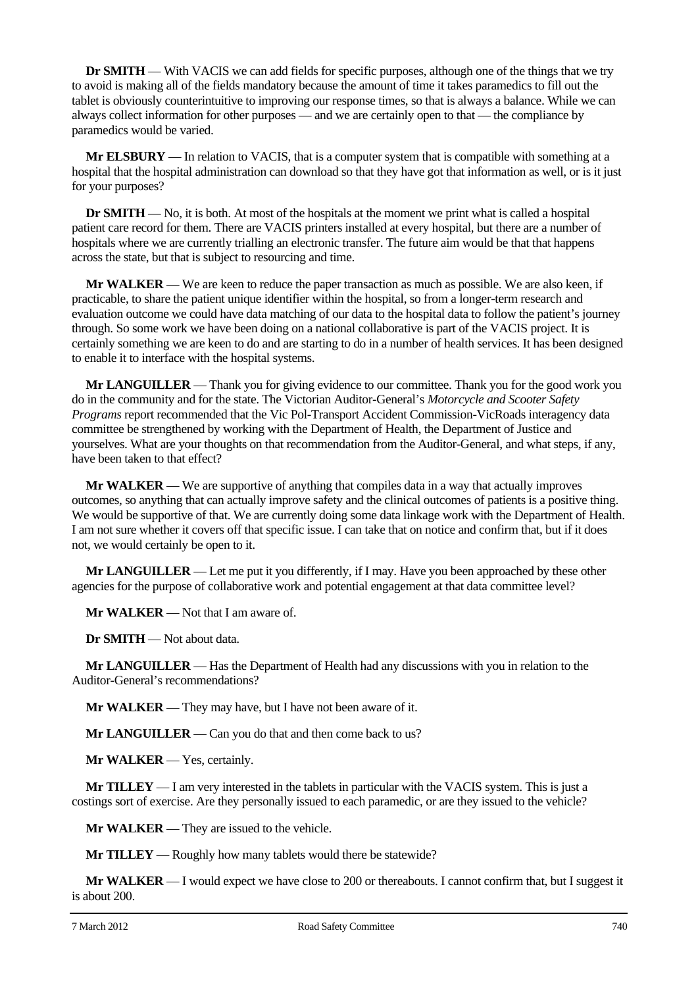**Dr <b>SMITH** — With VACIS we can add fields for specific purposes, although one of the things that we try to avoid is making all of the fields mandatory because the amount of time it takes paramedics to fill out the tablet is obviously counterintuitive to improving our response times, so that is always a balance. While we can always collect information for other purposes — and we are certainly open to that — the compliance by paramedics would be varied.

**Mr ELSBURY** — In relation to VACIS, that is a computer system that is compatible with something at a hospital that the hospital administration can download so that they have got that information as well, or is it just for your purposes?

**Dr SMITH** — No, it is both. At most of the hospitals at the moment we print what is called a hospital patient care record for them. There are VACIS printers installed at every hospital, but there are a number of hospitals where we are currently trialling an electronic transfer. The future aim would be that that happens across the state, but that is subject to resourcing and time.

**Mr WALKER** — We are keen to reduce the paper transaction as much as possible. We are also keen, if practicable, to share the patient unique identifier within the hospital, so from a longer-term research and evaluation outcome we could have data matching of our data to the hospital data to follow the patient's journey through. So some work we have been doing on a national collaborative is part of the VACIS project. It is certainly something we are keen to do and are starting to do in a number of health services. It has been designed to enable it to interface with the hospital systems.

**Mr LANGUILLER** — Thank you for giving evidence to our committee. Thank you for the good work you do in the community and for the state. The Victorian Auditor-General's *Motorcycle and Scooter Safety Programs* report recommended that the Vic Pol-Transport Accident Commission-VicRoads interagency data committee be strengthened by working with the Department of Health, the Department of Justice and yourselves. What are your thoughts on that recommendation from the Auditor-General, and what steps, if any, have been taken to that effect?

**Mr WALKER** — We are supportive of anything that compiles data in a way that actually improves outcomes, so anything that can actually improve safety and the clinical outcomes of patients is a positive thing. We would be supportive of that. We are currently doing some data linkage work with the Department of Health. I am not sure whether it covers off that specific issue. I can take that on notice and confirm that, but if it does not, we would certainly be open to it.

**Mr LANGUILLER** — Let me put it you differently, if I may. Have you been approached by these other agencies for the purpose of collaborative work and potential engagement at that data committee level?

**Mr WALKER** — Not that I am aware of.

**Dr SMITH** — Not about data.

**Mr LANGUILLER** — Has the Department of Health had any discussions with you in relation to the Auditor-General's recommendations?

**Mr WALKER** — They may have, but I have not been aware of it.

**Mr LANGUILLER** — Can you do that and then come back to us?

**Mr WALKER** — Yes, certainly.

**Mr TILLEY** — I am very interested in the tablets in particular with the VACIS system. This is just a costings sort of exercise. Are they personally issued to each paramedic, or are they issued to the vehicle?

**Mr WALKER** — They are issued to the vehicle.

**Mr TILLEY** — Roughly how many tablets would there be statewide?

**Mr WALKER** — I would expect we have close to 200 or thereabouts. I cannot confirm that, but I suggest it is about 200.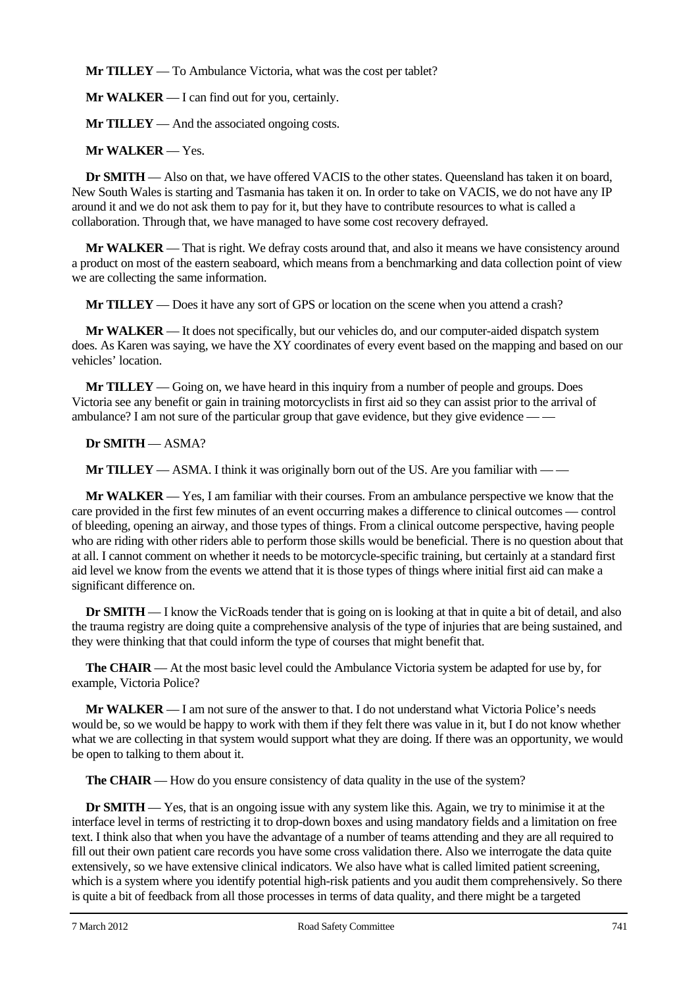**Mr TILLEY** — To Ambulance Victoria, what was the cost per tablet?

**Mr WALKER** — I can find out for you, certainly.

**Mr TILLEY** — And the associated ongoing costs.

**Mr WALKER** — Yes.

**Dr SMITH** — Also on that, we have offered VACIS to the other states. Queensland has taken it on board, New South Wales is starting and Tasmania has taken it on. In order to take on VACIS, we do not have any IP around it and we do not ask them to pay for it, but they have to contribute resources to what is called a collaboration. Through that, we have managed to have some cost recovery defrayed.

**Mr WALKER** — That is right. We defray costs around that, and also it means we have consistency around a product on most of the eastern seaboard, which means from a benchmarking and data collection point of view we are collecting the same information.

**Mr TILLEY** — Does it have any sort of GPS or location on the scene when you attend a crash?

**Mr WALKER** — It does not specifically, but our vehicles do, and our computer-aided dispatch system does. As Karen was saying, we have the XY coordinates of every event based on the mapping and based on our vehicles' location.

**Mr TILLEY** — Going on, we have heard in this inquiry from a number of people and groups. Does Victoria see any benefit or gain in training motorcyclists in first aid so they can assist prior to the arrival of ambulance? I am not sure of the particular group that gave evidence, but they give evidence — —

## **Dr SMITH** — ASMA?

**Mr TILLEY** — ASMA. I think it was originally born out of the US. Are you familiar with — —

**Mr WALKER** — Yes, I am familiar with their courses. From an ambulance perspective we know that the care provided in the first few minutes of an event occurring makes a difference to clinical outcomes — control of bleeding, opening an airway, and those types of things. From a clinical outcome perspective, having people who are riding with other riders able to perform those skills would be beneficial. There is no question about that at all. I cannot comment on whether it needs to be motorcycle-specific training, but certainly at a standard first aid level we know from the events we attend that it is those types of things where initial first aid can make a significant difference on.

**Dr SMITH** — I know the VicRoads tender that is going on is looking at that in quite a bit of detail, and also the trauma registry are doing quite a comprehensive analysis of the type of injuries that are being sustained, and they were thinking that that could inform the type of courses that might benefit that.

**The CHAIR** — At the most basic level could the Ambulance Victoria system be adapted for use by, for example, Victoria Police?

**Mr WALKER** — I am not sure of the answer to that. I do not understand what Victoria Police's needs would be, so we would be happy to work with them if they felt there was value in it, but I do not know whether what we are collecting in that system would support what they are doing. If there was an opportunity, we would be open to talking to them about it.

**The CHAIR** — How do you ensure consistency of data quality in the use of the system?

**Dr SMITH** — Yes, that is an ongoing issue with any system like this. Again, we try to minimise it at the interface level in terms of restricting it to drop-down boxes and using mandatory fields and a limitation on free text. I think also that when you have the advantage of a number of teams attending and they are all required to fill out their own patient care records you have some cross validation there. Also we interrogate the data quite extensively, so we have extensive clinical indicators. We also have what is called limited patient screening, which is a system where you identify potential high-risk patients and you audit them comprehensively. So there is quite a bit of feedback from all those processes in terms of data quality, and there might be a targeted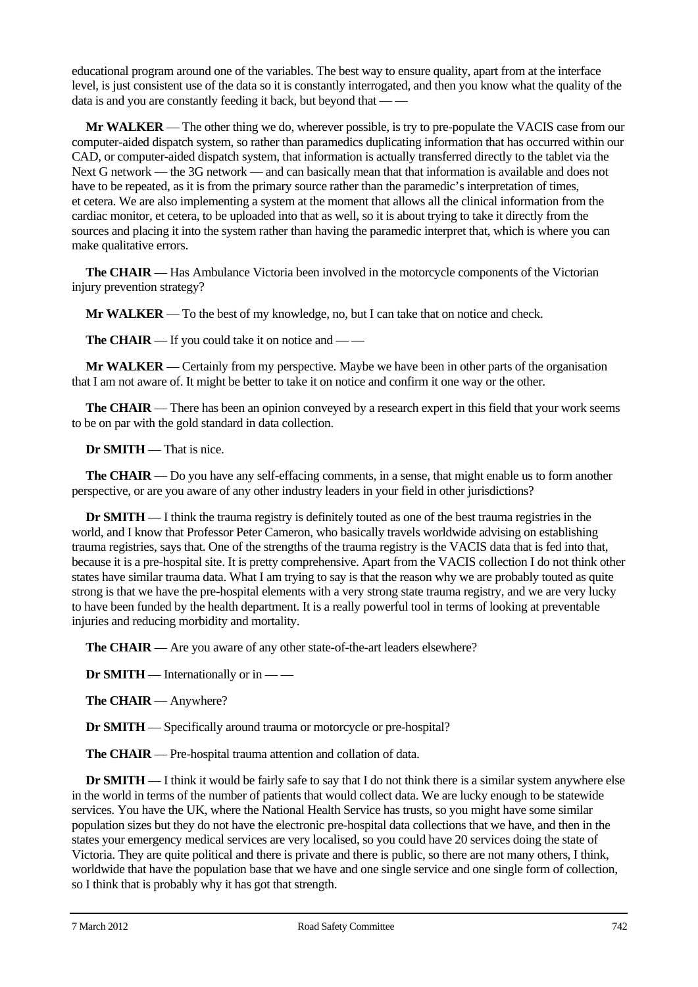educational program around one of the variables. The best way to ensure quality, apart from at the interface level, is just consistent use of the data so it is constantly interrogated, and then you know what the quality of the data is and you are constantly feeding it back, but beyond that — —

**Mr WALKER** — The other thing we do, wherever possible, is try to pre-populate the VACIS case from our computer-aided dispatch system, so rather than paramedics duplicating information that has occurred within our CAD, or computer-aided dispatch system, that information is actually transferred directly to the tablet via the Next G network — the 3G network — and can basically mean that that information is available and does not have to be repeated, as it is from the primary source rather than the paramedic's interpretation of times, et cetera. We are also implementing a system at the moment that allows all the clinical information from the cardiac monitor, et cetera, to be uploaded into that as well, so it is about trying to take it directly from the sources and placing it into the system rather than having the paramedic interpret that, which is where you can make qualitative errors.

**The CHAIR** — Has Ambulance Victoria been involved in the motorcycle components of the Victorian injury prevention strategy?

**Mr WALKER** — To the best of my knowledge, no, but I can take that on notice and check.

**The CHAIR** — If you could take it on notice and — —

**Mr WALKER** — Certainly from my perspective. Maybe we have been in other parts of the organisation that I am not aware of. It might be better to take it on notice and confirm it one way or the other.

**The CHAIR** — There has been an opinion conveved by a research expert in this field that your work seems to be on par with the gold standard in data collection.

**Dr SMITH** — That is nice.

**The CHAIR** — Do you have any self-effacing comments, in a sense, that might enable us to form another perspective, or are you aware of any other industry leaders in your field in other jurisdictions?

**Dr SMITH** — I think the trauma registry is definitely touted as one of the best trauma registries in the world, and I know that Professor Peter Cameron, who basically travels worldwide advising on establishing trauma registries, says that. One of the strengths of the trauma registry is the VACIS data that is fed into that, because it is a pre-hospital site. It is pretty comprehensive. Apart from the VACIS collection I do not think other states have similar trauma data. What I am trying to say is that the reason why we are probably touted as quite strong is that we have the pre-hospital elements with a very strong state trauma registry, and we are very lucky to have been funded by the health department. It is a really powerful tool in terms of looking at preventable injuries and reducing morbidity and mortality.

**The CHAIR** — Are you aware of any other state-of-the-art leaders elsewhere?

**Dr SMITH** — Internationally or in — —

**The CHAIR** — Anywhere?

**Dr SMITH** — Specifically around trauma or motorcycle or pre-hospital?

**The CHAIR** — Pre-hospital trauma attention and collation of data.

**Dr SMITH** — I think it would be fairly safe to say that I do not think there is a similar system anywhere else in the world in terms of the number of patients that would collect data. We are lucky enough to be statewide services. You have the UK, where the National Health Service has trusts, so you might have some similar population sizes but they do not have the electronic pre-hospital data collections that we have, and then in the states your emergency medical services are very localised, so you could have 20 services doing the state of Victoria. They are quite political and there is private and there is public, so there are not many others, I think, worldwide that have the population base that we have and one single service and one single form of collection, so I think that is probably why it has got that strength.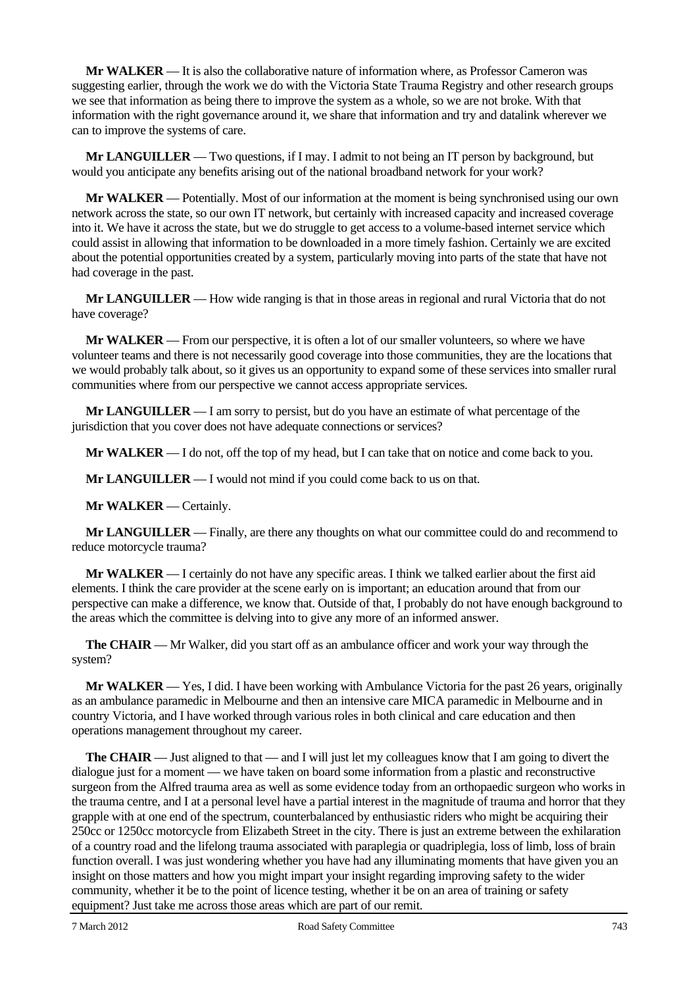**Mr WALKER** — It is also the collaborative nature of information where, as Professor Cameron was suggesting earlier, through the work we do with the Victoria State Trauma Registry and other research groups we see that information as being there to improve the system as a whole, so we are not broke. With that information with the right governance around it, we share that information and try and datalink wherever we can to improve the systems of care.

**Mr LANGUILLER** — Two questions, if I may. I admit to not being an IT person by background, but would you anticipate any benefits arising out of the national broadband network for your work?

**Mr WALKER** — Potentially. Most of our information at the moment is being synchronised using our own network across the state, so our own IT network, but certainly with increased capacity and increased coverage into it. We have it across the state, but we do struggle to get access to a volume-based internet service which could assist in allowing that information to be downloaded in a more timely fashion. Certainly we are excited about the potential opportunities created by a system, particularly moving into parts of the state that have not had coverage in the past.

**Mr LANGUILLER** — How wide ranging is that in those areas in regional and rural Victoria that do not have coverage?

**Mr WALKER** — From our perspective, it is often a lot of our smaller volunteers, so where we have volunteer teams and there is not necessarily good coverage into those communities, they are the locations that we would probably talk about, so it gives us an opportunity to expand some of these services into smaller rural communities where from our perspective we cannot access appropriate services.

**Mr LANGUILLER** — I am sorry to persist, but do you have an estimate of what percentage of the jurisdiction that you cover does not have adequate connections or services?

**Mr WALKER** — I do not, off the top of my head, but I can take that on notice and come back to you.

**Mr LANGUILLER** — I would not mind if you could come back to us on that.

**Mr WALKER** — Certainly.

**Mr LANGUILLER** — Finally, are there any thoughts on what our committee could do and recommend to reduce motorcycle trauma?

**Mr WALKER** — I certainly do not have any specific areas. I think we talked earlier about the first aid elements. I think the care provider at the scene early on is important; an education around that from our perspective can make a difference, we know that. Outside of that, I probably do not have enough background to the areas which the committee is delving into to give any more of an informed answer.

**The CHAIR** — Mr Walker, did you start off as an ambulance officer and work your way through the system?

**Mr WALKER** — Yes, I did. I have been working with Ambulance Victoria for the past 26 years, originally as an ambulance paramedic in Melbourne and then an intensive care MICA paramedic in Melbourne and in country Victoria, and I have worked through various roles in both clinical and care education and then operations management throughout my career.

**The CHAIR** — Just aligned to that — and I will just let my colleagues know that I am going to divert the dialogue just for a moment — we have taken on board some information from a plastic and reconstructive surgeon from the Alfred trauma area as well as some evidence today from an orthopaedic surgeon who works in the trauma centre, and I at a personal level have a partial interest in the magnitude of trauma and horror that they grapple with at one end of the spectrum, counterbalanced by enthusiastic riders who might be acquiring their 250cc or 1250cc motorcycle from Elizabeth Street in the city. There is just an extreme between the exhilaration of a country road and the lifelong trauma associated with paraplegia or quadriplegia, loss of limb, loss of brain function overall. I was just wondering whether you have had any illuminating moments that have given you an insight on those matters and how you might impart your insight regarding improving safety to the wider community, whether it be to the point of licence testing, whether it be on an area of training or safety equipment? Just take me across those areas which are part of our remit.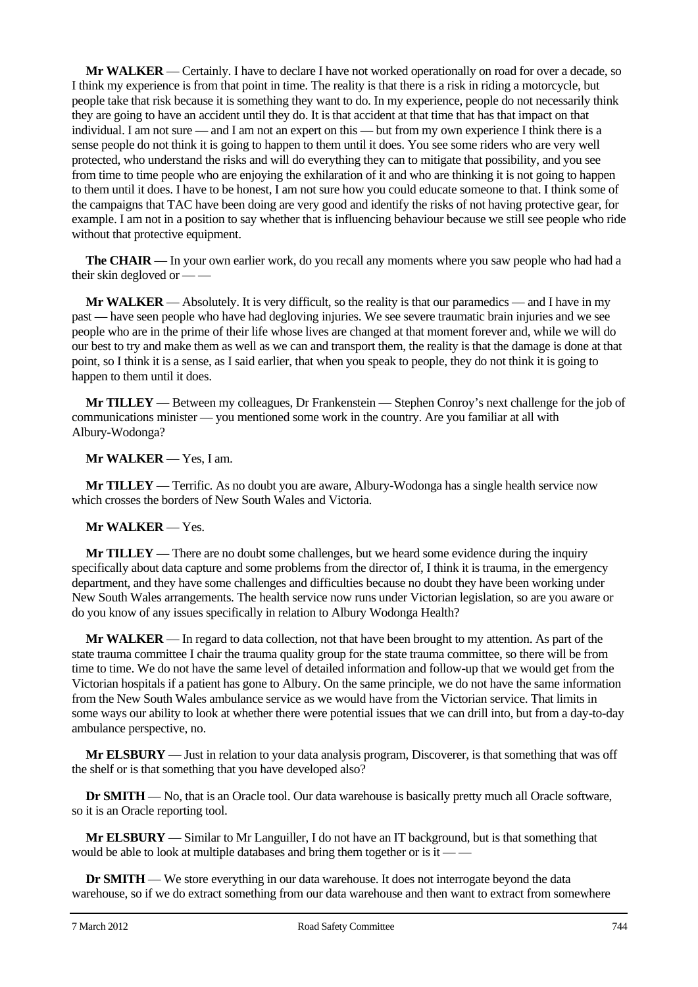**Mr WALKER** — Certainly. I have to declare I have not worked operationally on road for over a decade, so I think my experience is from that point in time. The reality is that there is a risk in riding a motorcycle, but people take that risk because it is something they want to do. In my experience, people do not necessarily think they are going to have an accident until they do. It is that accident at that time that has that impact on that individual. I am not sure — and I am not an expert on this — but from my own experience I think there is a sense people do not think it is going to happen to them until it does. You see some riders who are very well protected, who understand the risks and will do everything they can to mitigate that possibility, and you see from time to time people who are enjoying the exhilaration of it and who are thinking it is not going to happen to them until it does. I have to be honest, I am not sure how you could educate someone to that. I think some of the campaigns that TAC have been doing are very good and identify the risks of not having protective gear, for example. I am not in a position to say whether that is influencing behaviour because we still see people who ride without that protective equipment.

**The CHAIR** — In your own earlier work, do you recall any moments where you saw people who had had a their skin degloved or — —

**Mr WALKER** — Absolutely. It is very difficult, so the reality is that our paramedics — and I have in my past — have seen people who have had degloving injuries. We see severe traumatic brain injuries and we see people who are in the prime of their life whose lives are changed at that moment forever and, while we will do our best to try and make them as well as we can and transport them, the reality is that the damage is done at that point, so I think it is a sense, as I said earlier, that when you speak to people, they do not think it is going to happen to them until it does.

**Mr TILLEY** — Between my colleagues, Dr Frankenstein — Stephen Conroy's next challenge for the job of communications minister — you mentioned some work in the country. Are you familiar at all with Albury-Wodonga?

**Mr WALKER** — Yes, I am.

**Mr TILLEY** — Terrific. As no doubt you are aware, Albury-Wodonga has a single health service now which crosses the borders of New South Wales and Victoria.

### **Mr WALKER** — Yes.

**Mr TILLEY** — There are no doubt some challenges, but we heard some evidence during the inquiry specifically about data capture and some problems from the director of, I think it is trauma, in the emergency department, and they have some challenges and difficulties because no doubt they have been working under New South Wales arrangements. The health service now runs under Victorian legislation, so are you aware or do you know of any issues specifically in relation to Albury Wodonga Health?

**Mr WALKER** — In regard to data collection, not that have been brought to my attention. As part of the state trauma committee I chair the trauma quality group for the state trauma committee, so there will be from time to time. We do not have the same level of detailed information and follow-up that we would get from the Victorian hospitals if a patient has gone to Albury. On the same principle, we do not have the same information from the New South Wales ambulance service as we would have from the Victorian service. That limits in some ways our ability to look at whether there were potential issues that we can drill into, but from a day-to-day ambulance perspective, no.

**Mr ELSBURY** — Just in relation to your data analysis program, Discoverer, is that something that was off the shelf or is that something that you have developed also?

**Dr SMITH** — No, that is an Oracle tool. Our data warehouse is basically pretty much all Oracle software, so it is an Oracle reporting tool.

**Mr ELSBURY** — Similar to Mr Languiller, I do not have an IT background, but is that something that would be able to look at multiple databases and bring them together or is it -

**Dr SMITH** — We store everything in our data warehouse. It does not interrogate beyond the data warehouse, so if we do extract something from our data warehouse and then want to extract from somewhere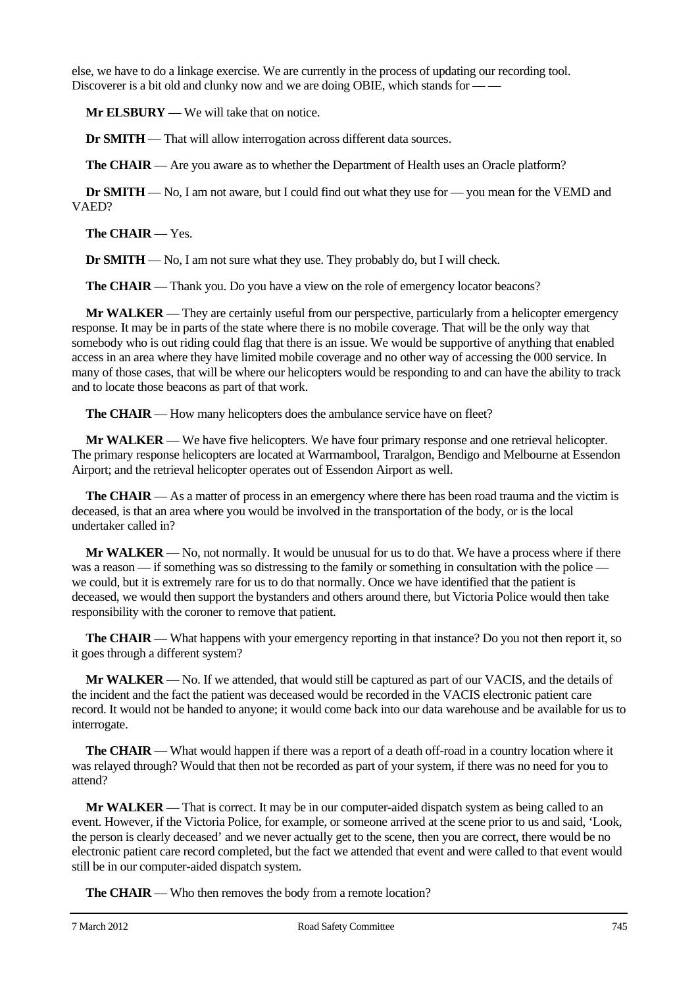else, we have to do a linkage exercise. We are currently in the process of updating our recording tool. Discoverer is a bit old and clunky now and we are doing OBIE, which stands for  $-\frac{1}{2}$ 

**Mr ELSBURY** — We will take that on notice.

**Dr SMITH** — That will allow interrogation across different data sources.

**The CHAIR** — Are you aware as to whether the Department of Health uses an Oracle platform?

**Dr SMITH** — No, I am not aware, but I could find out what they use for — you mean for the VEMD and VAED?

**The CHAIR** — Yes.

**Dr SMITH** — No, I am not sure what they use. They probably do, but I will check.

**The CHAIR** — Thank you. Do you have a view on the role of emergency locator beacons?

**Mr WALKER** — They are certainly useful from our perspective, particularly from a helicopter emergency response. It may be in parts of the state where there is no mobile coverage. That will be the only way that somebody who is out riding could flag that there is an issue. We would be supportive of anything that enabled access in an area where they have limited mobile coverage and no other way of accessing the 000 service. In many of those cases, that will be where our helicopters would be responding to and can have the ability to track and to locate those beacons as part of that work.

**The CHAIR** — How many helicopters does the ambulance service have on fleet?

**Mr WALKER** — We have five helicopters. We have four primary response and one retrieval helicopter. The primary response helicopters are located at Warrnambool, Traralgon, Bendigo and Melbourne at Essendon Airport; and the retrieval helicopter operates out of Essendon Airport as well.

**The CHAIR** — As a matter of process in an emergency where there has been road trauma and the victim is deceased, is that an area where you would be involved in the transportation of the body, or is the local undertaker called in?

**Mr WALKER** — No, not normally. It would be unusual for us to do that. We have a process where if there was a reason — if something was so distressing to the family or something in consultation with the police we could, but it is extremely rare for us to do that normally. Once we have identified that the patient is deceased, we would then support the bystanders and others around there, but Victoria Police would then take responsibility with the coroner to remove that patient.

**The CHAIR** — What happens with your emergency reporting in that instance? Do you not then report it, so it goes through a different system?

**Mr WALKER** — No. If we attended, that would still be captured as part of our VACIS, and the details of the incident and the fact the patient was deceased would be recorded in the VACIS electronic patient care record. It would not be handed to anyone; it would come back into our data warehouse and be available for us to interrogate.

**The CHAIR** — What would happen if there was a report of a death off-road in a country location where it was relayed through? Would that then not be recorded as part of your system, if there was no need for you to attend?

**Mr WALKER** — That is correct. It may be in our computer-aided dispatch system as being called to an event. However, if the Victoria Police, for example, or someone arrived at the scene prior to us and said, 'Look, the person is clearly deceased' and we never actually get to the scene, then you are correct, there would be no electronic patient care record completed, but the fact we attended that event and were called to that event would still be in our computer-aided dispatch system.

**The CHAIR** — Who then removes the body from a remote location?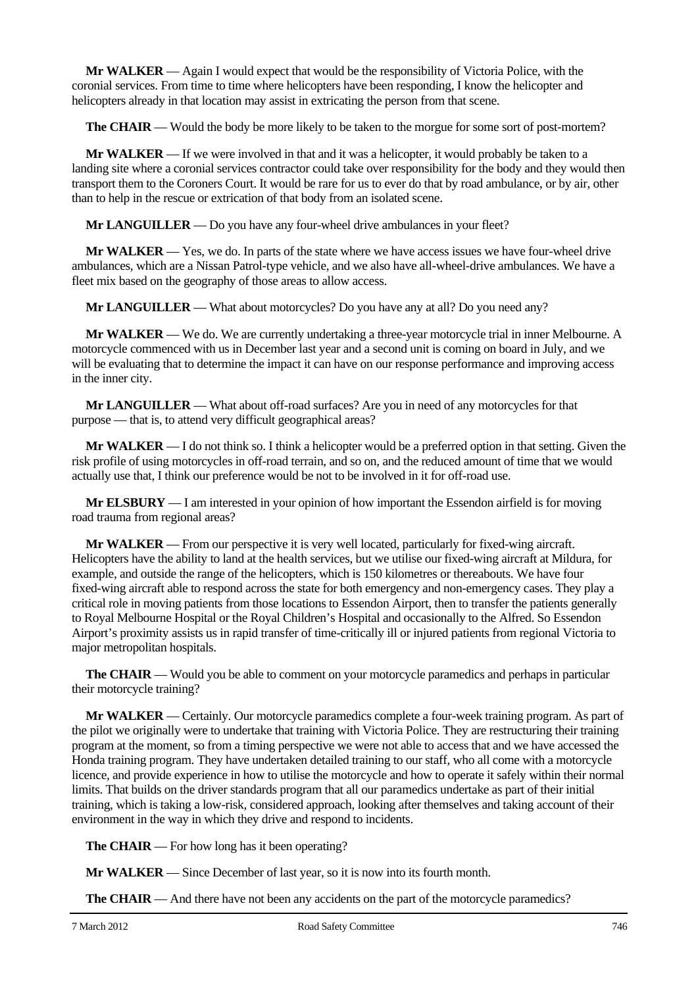**Mr WALKER** — Again I would expect that would be the responsibility of Victoria Police, with the coronial services. From time to time where helicopters have been responding, I know the helicopter and helicopters already in that location may assist in extricating the person from that scene.

**The CHAIR** — Would the body be more likely to be taken to the morgue for some sort of post-mortem?

**Mr WALKER** — If we were involved in that and it was a helicopter, it would probably be taken to a landing site where a coronial services contractor could take over responsibility for the body and they would then transport them to the Coroners Court. It would be rare for us to ever do that by road ambulance, or by air, other than to help in the rescue or extrication of that body from an isolated scene.

**Mr LANGUILLER** — Do you have any four-wheel drive ambulances in your fleet?

**Mr WALKER** — Yes, we do. In parts of the state where we have access issues we have four-wheel drive ambulances, which are a Nissan Patrol-type vehicle, and we also have all-wheel-drive ambulances. We have a fleet mix based on the geography of those areas to allow access.

**Mr LANGUILLER** — What about motorcycles? Do you have any at all? Do you need any?

**Mr WALKER** — We do. We are currently undertaking a three-year motorcycle trial in inner Melbourne. A motorcycle commenced with us in December last year and a second unit is coming on board in July, and we will be evaluating that to determine the impact it can have on our response performance and improving access in the inner city.

**Mr LANGUILLER** — What about off-road surfaces? Are you in need of any motorcycles for that purpose — that is, to attend very difficult geographical areas?

**Mr WALKER** — I do not think so. I think a helicopter would be a preferred option in that setting. Given the risk profile of using motorcycles in off-road terrain, and so on, and the reduced amount of time that we would actually use that, I think our preference would be not to be involved in it for off-road use.

**Mr ELSBURY** — I am interested in your opinion of how important the Essendon airfield is for moving road trauma from regional areas?

**Mr WALKER** — From our perspective it is very well located, particularly for fixed-wing aircraft. Helicopters have the ability to land at the health services, but we utilise our fixed-wing aircraft at Mildura, for example, and outside the range of the helicopters, which is 150 kilometres or thereabouts. We have four fixed-wing aircraft able to respond across the state for both emergency and non-emergency cases. They play a critical role in moving patients from those locations to Essendon Airport, then to transfer the patients generally to Royal Melbourne Hospital or the Royal Children's Hospital and occasionally to the Alfred. So Essendon Airport's proximity assists us in rapid transfer of time-critically ill or injured patients from regional Victoria to major metropolitan hospitals.

**The CHAIR** — Would you be able to comment on your motorcycle paramedics and perhaps in particular their motorcycle training?

**Mr WALKER** — Certainly. Our motorcycle paramedics complete a four-week training program. As part of the pilot we originally were to undertake that training with Victoria Police. They are restructuring their training program at the moment, so from a timing perspective we were not able to access that and we have accessed the Honda training program. They have undertaken detailed training to our staff, who all come with a motorcycle licence, and provide experience in how to utilise the motorcycle and how to operate it safely within their normal limits. That builds on the driver standards program that all our paramedics undertake as part of their initial training, which is taking a low-risk, considered approach, looking after themselves and taking account of their environment in the way in which they drive and respond to incidents.

**The CHAIR** — For how long has it been operating?

**Mr WALKER** — Since December of last year, so it is now into its fourth month.

**The CHAIR** — And there have not been any accidents on the part of the motorcycle paramedics?